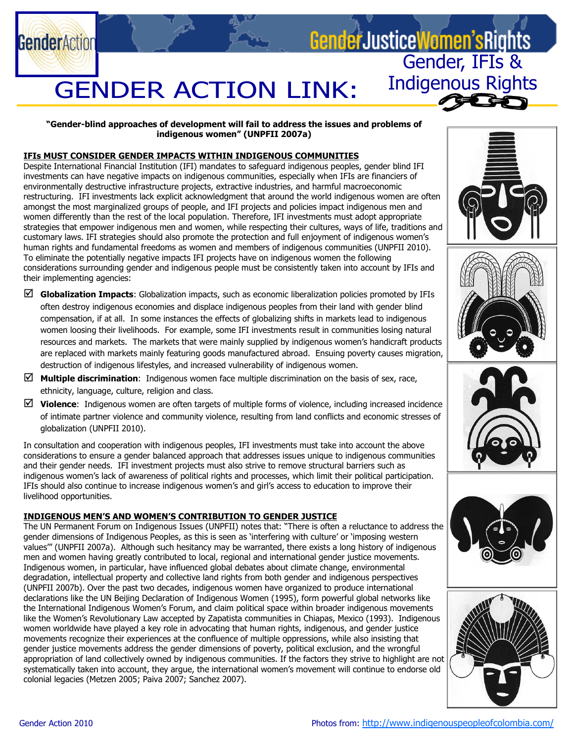

#### "Gender-blind approaches of development will fail to address the issues and problems of indigenous women" (UNPFII 2007a)

### IFIs MUST CONSIDER GENDER IMPACTS WITHIN INDIGENOUS COMMUNITIES

Despite International Financial Institution (IFI) mandates to safeguard indigenous peoples, gender blind IFI investments can have negative impacts on indigenous communities, especially when IFIs are financiers of environmentally destructive infrastructure projects, extractive industries, and harmful macroeconomic restructuring. IFI investments lack explicit acknowledgment that around the world indigenous women are often amongst the most marginalized groups of people, and IFI projects and policies impact indigenous men and women differently than the rest of the local population. Therefore, IFI investments must adopt appropriate strategies that empower indigenous men and women, while respecting their cultures, ways of life, traditions and customary laws. IFI strategies should also promote the protection and full enjoyment of indigenous women's human rights and fundamental freedoms as women and members of indigenous communities (UNPFII 2010). To eliminate the potentially negative impacts IFI projects have on indigenous women the following considerations surrounding gender and indigenous people must be consistently taken into account by IFIs and their implementing agencies:

- $\boxtimes$  Globalization Impacts: Globalization impacts, such as economic liberalization policies promoted by IFIs often destroy indigenous economies and displace indigenous peoples from their land with gender blind compensation, if at all. In some instances the effects of globalizing shifts in markets lead to indigenous women loosing their livelihoods. For example, some IFI investments result in communities losing natural resources and markets. The markets that were mainly supplied by indigenous women's handicraft products are replaced with markets mainly featuring goods manufactured abroad. Ensuing poverty causes migration, destruction of indigenous lifestyles, and increased vulnerability of indigenous women.
- **Multiple discrimination:** Indigenous women face multiple discrimination on the basis of sex, race, ethnicity, language, culture, religion and class.
- $\boxtimes$  Violence: Indigenous women are often targets of multiple forms of violence, including increased incidence of intimate partner violence and community violence, resulting from land conflicts and economic stresses of globalization (UNPFII 2010).

In consultation and cooperation with indigenous peoples, IFI investments must take into account the above considerations to ensure a gender balanced approach that addresses issues unique to indigenous communities and their gender needs. IFI investment projects must also strive to remove structural barriers such as indigenous women's lack of awareness of political rights and processes, which limit their political participation. IFIs should also continue to increase indigenous women's and girl's access to education to improve their livelihood opportunities.

#### INDIGENOUS MEN'S AND WOMEN'S CONTRIBUTION TO GENDER JUSTICE

The UN Permanent Forum on Indigenous Issues (UNPFII) notes that: "There is often a reluctance to address the gender dimensions of Indigenous Peoples, as this is seen as 'interfering with culture' or 'imposing western values'" (UNPFII 2007a). Although such hesitancy may be warranted, there exists a long history of indigenous men and women having greatly contributed to local, regional and international gender justice movements. Indigenous women, in particular, have influenced global debates about climate change, environmental degradation, intellectual property and collective land rights from both gender and indigenous perspectives (UNPFII 2007b). Over the past two decades, indigenous women have organized to produce international declarations like the UN Beijing Declaration of Indigenous Women (1995), form powerful global networks like the International Indigenous Women's Forum, and claim political space within broader indigenous movements like the Women's Revolutionary Law accepted by Zapatista communities in Chiapas, Mexico (1993). Indigenous women worldwide have played a key role in advocating that human rights, indigenous, and gender justice movements recognize their experiences at the confluence of multiple oppressions, while also insisting that gender justice movements address the gender dimensions of poverty, political exclusion, and the wrongful appropriation of land collectively owned by indigenous communities. If the factors they strive to highlight are not systematically taken into account, they argue, the international women's movement will continue to endorse old colonial legacies (Metzen 2005; Paiva 2007; Sanchez 2007).



Indigenous Rights









**GenderAction**